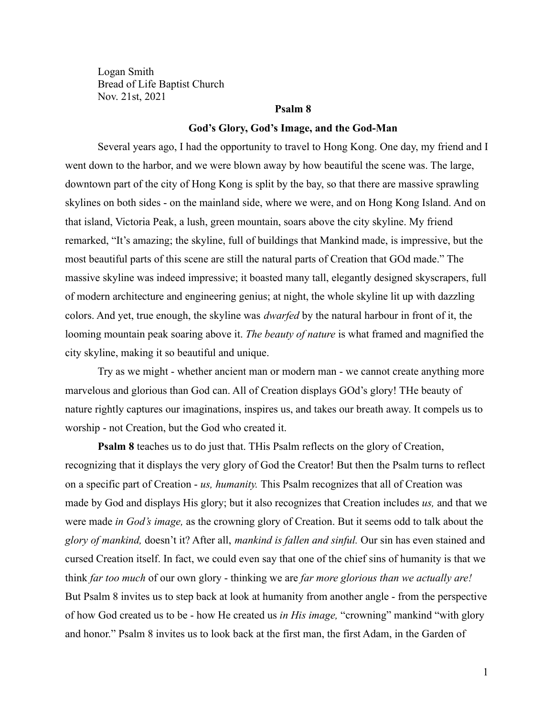Logan Smith Bread of Life Baptist Church Nov. 21st, 2021

# **Psalm 8**

#### **God's Glory, God's Image, and the God-Man**

Several years ago, I had the opportunity to travel to Hong Kong. One day, my friend and I went down to the harbor, and we were blown away by how beautiful the scene was. The large, downtown part of the city of Hong Kong is split by the bay, so that there are massive sprawling skylines on both sides - on the mainland side, where we were, and on Hong Kong Island. And on that island, Victoria Peak, a lush, green mountain, soars above the city skyline. My friend remarked, "It's amazing; the skyline, full of buildings that Mankind made, is impressive, but the most beautiful parts of this scene are still the natural parts of Creation that GOd made." The massive skyline was indeed impressive; it boasted many tall, elegantly designed skyscrapers, full of modern architecture and engineering genius; at night, the whole skyline lit up with dazzling colors. And yet, true enough, the skyline was *dwarfed* by the natural harbour in front of it, the looming mountain peak soaring above it. *The beauty of nature* is what framed and magnified the city skyline, making it so beautiful and unique.

Try as we might - whether ancient man or modern man - we cannot create anything more marvelous and glorious than God can. All of Creation displays GOd's glory! THe beauty of nature rightly captures our imaginations, inspires us, and takes our breath away. It compels us to worship - not Creation, but the God who created it.

**Psalm 8** teaches us to do just that. THis Psalm reflects on the glory of Creation, recognizing that it displays the very glory of God the Creator! But then the Psalm turns to reflect on a specific part of Creation - *us, humanity.* This Psalm recognizes that all of Creation was made by God and displays His glory; but it also recognizes that Creation includes *us,* and that we were made *in God's image,* as the crowning glory of Creation. But it seems odd to talk about the *glory of mankind,* doesn't it? After all, *mankind is fallen and sinful.* Our sin has even stained and cursed Creation itself. In fact, we could even say that one of the chief sins of humanity is that we think *far too much* of our own glory - thinking we are *far more glorious than we actually are!* But Psalm 8 invites us to step back at look at humanity from another angle - from the perspective of how God created us to be - how He created us *in His image,* "crowning" mankind "with glory and honor." Psalm 8 invites us to look back at the first man, the first Adam, in the Garden of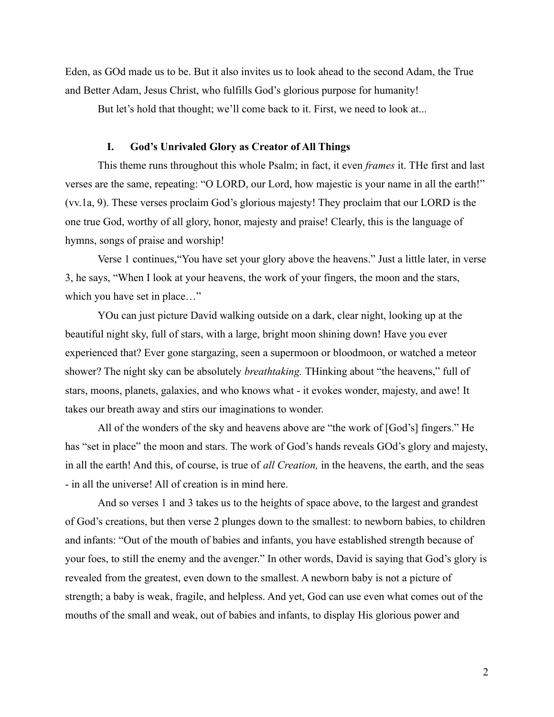Eden, as GOd made us to be. But it also invites us to look ahead to the second Adam, the True and Better Adam, Jesus Christ, who fulfills God's glorious purpose for humanity!

But let's hold that thought; we'll come back to it. First, we need to look at...

## **I. God's Unrivaled Glory as Creator of All Things**

This theme runs throughout this whole Psalm; in fact, it even *frames* it. THe first and last verses are the same, repeating: "O LORD, our Lord, how majestic is your name in all the earth!" (vv.1a, 9). These verses proclaim God's glorious majesty! They proclaim that our LORD is the one true God, worthy of all glory, honor, majesty and praise! Clearly, this is the language of hymns, songs of praise and worship!

Verse 1 continues,"You have set your glory above the heavens." Just a little later, in verse 3, he says, "When I look at your heavens, the work of your fingers, the moon and the stars, which you have set in place…"

YOu can just picture David walking outside on a dark, clear night, looking up at the beautiful night sky, full of stars, with a large, bright moon shining down! Have you ever experienced that? Ever gone stargazing, seen a supermoon or bloodmoon, or watched a meteor shower? The night sky can be absolutely *breathtaking.* THinking about "the heavens," full of stars, moons, planets, galaxies, and who knows what - it evokes wonder, majesty, and awe! It takes our breath away and stirs our imaginations to wonder.

All of the wonders of the sky and heavens above are "the work of [God's] fingers." He has "set in place" the moon and stars. The work of God's hands reveals GOd's glory and majesty, in all the earth! And this, of course, is true of *all Creation,* in the heavens, the earth, and the seas - in all the universe! All of creation is in mind here.

And so verses 1 and 3 takes us to the heights of space above, to the largest and grandest of God's creations, but then verse 2 plunges down to the smallest: to newborn babies, to children and infants: "Out of the mouth of babies and infants, you have established strength because of your foes, to still the enemy and the avenger." In other words, David is saying that God's glory is revealed from the greatest, even down to the smallest. A newborn baby is not a picture of strength; a baby is weak, fragile, and helpless. And yet, God can use even what comes out of the mouths of the small and weak, out of babies and infants, to display His glorious power and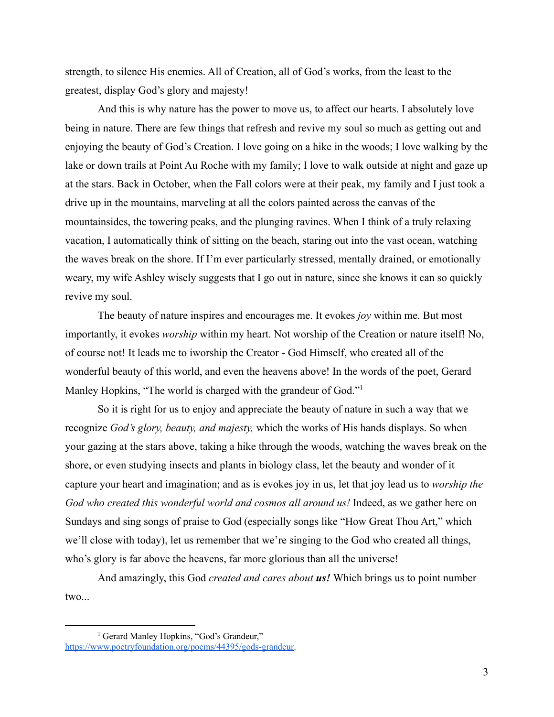strength, to silence His enemies. All of Creation, all of God's works, from the least to the greatest, display God's glory and majesty!

And this is why nature has the power to move us, to affect our hearts. I absolutely love being in nature. There are few things that refresh and revive my soul so much as getting out and enjoying the beauty of God's Creation. I love going on a hike in the woods; I love walking by the lake or down trails at Point Au Roche with my family; I love to walk outside at night and gaze up at the stars. Back in October, when the Fall colors were at their peak, my family and I just took a drive up in the mountains, marveling at all the colors painted across the canvas of the mountainsides, the towering peaks, and the plunging ravines. When I think of a truly relaxing vacation, I automatically think of sitting on the beach, staring out into the vast ocean, watching the waves break on the shore. If I'm ever particularly stressed, mentally drained, or emotionally weary, my wife Ashley wisely suggests that I go out in nature, since she knows it can so quickly revive my soul.

The beauty of nature inspires and encourages me. It evokes *joy* within me. But most importantly, it evokes *worship* within my heart. Not worship of the Creation or nature itself! No, of course not! It leads me to iworship the Creator - God Himself, who created all of the wonderful beauty of this world, and even the heavens above! In the words of the poet, Gerard Manley Hopkins, "The world is charged with the grandeur of God."<sup>1</sup>

So it is right for us to enjoy and appreciate the beauty of nature in such a way that we recognize *God's glory, beauty, and majesty,* which the works of His hands displays. So when your gazing at the stars above, taking a hike through the woods, watching the waves break on the shore, or even studying insects and plants in biology class, let the beauty and wonder of it capture your heart and imagination; and as is evokes joy in us, let that joy lead us to *worship the God who created this wonderful world and cosmos all around us!* Indeed, as we gather here on Sundays and sing songs of praise to God (especially songs like "How Great Thou Art," which we'll close with today), let us remember that we're singing to the God who created all things, who's glory is far above the heavens, far more glorious than all the universe!

And amazingly, this God *created and cares about us!* Which brings us to point number two...

<sup>&</sup>lt;sup>1</sup> Gerard Manley Hopkins, "God's Grandeur," [https://www.poetryfoundation.org/poems/44395/gods-grandeur.](https://www.poetryfoundation.org/poems/44395/gods-grandeur)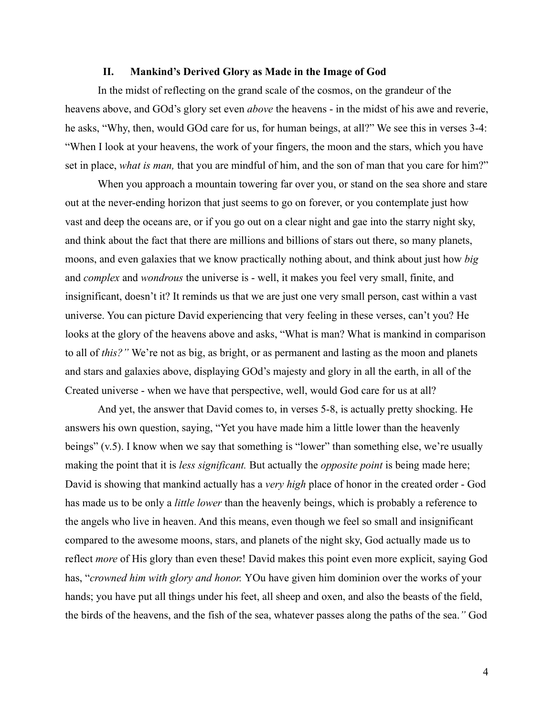#### **II. Mankind's Derived Glory as Made in the Image of God**

In the midst of reflecting on the grand scale of the cosmos, on the grandeur of the heavens above, and GOd's glory set even *above* the heavens - in the midst of his awe and reverie, he asks, "Why, then, would GOd care for us, for human beings, at all?" We see this in verses 3-4: "When I look at your heavens, the work of your fingers, the moon and the stars, which you have set in place, *what is man,* that you are mindful of him, and the son of man that you care for him?"

When you approach a mountain towering far over you, or stand on the sea shore and stare out at the never-ending horizon that just seems to go on forever, or you contemplate just how vast and deep the oceans are, or if you go out on a clear night and gae into the starry night sky, and think about the fact that there are millions and billions of stars out there, so many planets, moons, and even galaxies that we know practically nothing about, and think about just how *big* and *complex* and *wondrous* the universe is - well, it makes you feel very small, finite, and insignificant, doesn't it? It reminds us that we are just one very small person, cast within a vast universe. You can picture David experiencing that very feeling in these verses, can't you? He looks at the glory of the heavens above and asks, "What is man? What is mankind in comparison to all of *this?"* We're not as big, as bright, or as permanent and lasting as the moon and planets and stars and galaxies above, displaying GOd's majesty and glory in all the earth, in all of the Created universe - when we have that perspective, well, would God care for us at all?

And yet, the answer that David comes to, in verses 5-8, is actually pretty shocking. He answers his own question, saying, "Yet you have made him a little lower than the heavenly beings" (v.5). I know when we say that something is "lower" than something else, we're usually making the point that it is *less significant.* But actually the *opposite point* is being made here; David is showing that mankind actually has a *very high* place of honor in the created order - God has made us to be only a *little lower* than the heavenly beings, which is probably a reference to the angels who live in heaven. And this means, even though we feel so small and insignificant compared to the awesome moons, stars, and planets of the night sky, God actually made us to reflect *more* of His glory than even these! David makes this point even more explicit, saying God has, "*crowned him with glory and honor.* YOu have given him dominion over the works of your hands; you have put all things under his feet, all sheep and oxen, and also the beasts of the field, the birds of the heavens, and the fish of the sea, whatever passes along the paths of the sea.*"* God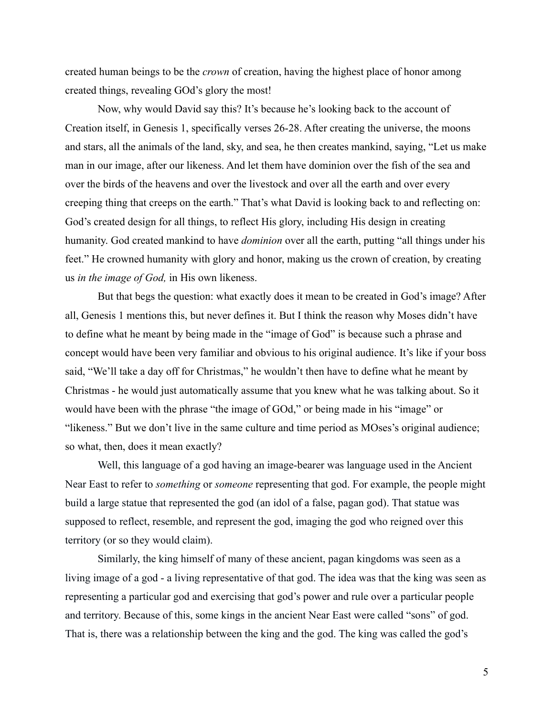created human beings to be the *crown* of creation, having the highest place of honor among created things, revealing GOd's glory the most!

Now, why would David say this? It's because he's looking back to the account of Creation itself, in Genesis 1, specifically verses 26-28. After creating the universe, the moons and stars, all the animals of the land, sky, and sea, he then creates mankind, saying, "Let us make man in our image, after our likeness. And let them have dominion over the fish of the sea and over the birds of the heavens and over the livestock and over all the earth and over every creeping thing that creeps on the earth." That's what David is looking back to and reflecting on: God's created design for all things, to reflect His glory, including His design in creating humanity. God created mankind to have *dominion* over all the earth, putting "all things under his feet." He crowned humanity with glory and honor, making us the crown of creation, by creating us *in the image of God,* in His own likeness.

But that begs the question: what exactly does it mean to be created in God's image? After all, Genesis 1 mentions this, but never defines it. But I think the reason why Moses didn't have to define what he meant by being made in the "image of God" is because such a phrase and concept would have been very familiar and obvious to his original audience. It's like if your boss said, "We'll take a day off for Christmas," he wouldn't then have to define what he meant by Christmas - he would just automatically assume that you knew what he was talking about. So it would have been with the phrase "the image of GOd," or being made in his "image" or "likeness." But we don't live in the same culture and time period as MOses's original audience; so what, then, does it mean exactly?

Well, this language of a god having an image-bearer was language used in the Ancient Near East to refer to *something* or *someone* representing that god. For example, the people might build a large statue that represented the god (an idol of a false, pagan god). That statue was supposed to reflect, resemble, and represent the god, imaging the god who reigned over this territory (or so they would claim).

Similarly, the king himself of many of these ancient, pagan kingdoms was seen as a living image of a god - a living representative of that god. The idea was that the king was seen as representing a particular god and exercising that god's power and rule over a particular people and territory. Because of this, some kings in the ancient Near East were called "sons" of god. That is, there was a relationship between the king and the god. The king was called the god's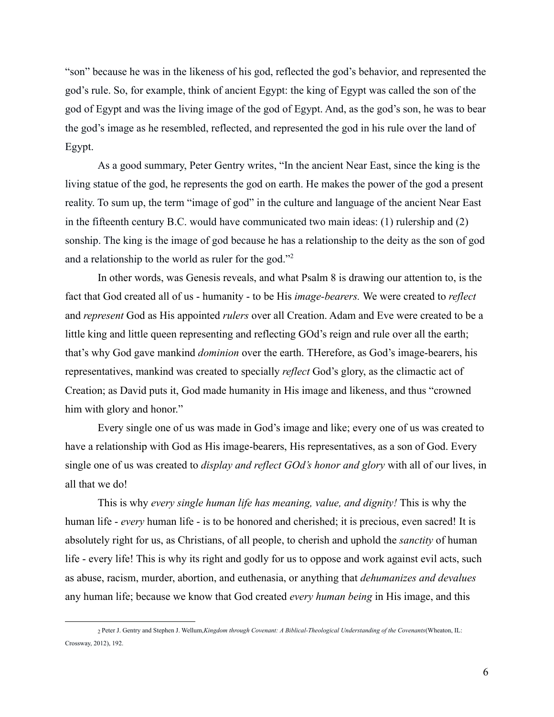"son" because he was in the likeness of his god, reflected the god's behavior, and represented the god's rule. So, for example, think of ancient Egypt: the king of Egypt was called the son of the god of Egypt and was the living image of the god of Egypt. And, as the god's son, he was to bear the god's image as he resembled, reflected, and represented the god in his rule over the land of Egypt.

As a good summary, Peter Gentry writes, "In the ancient Near East, since the king is the living statue of the god, he represents the god on earth. He makes the power of the god a present reality. To sum up, the term "image of god" in the culture and language of the ancient Near East in the fifteenth century B.C. would have communicated two main ideas: (1) rulership and (2) sonship. The king is the image of god because he has a relationship to the deity as the son of god and a relationship to the world as ruler for the god."<sup>2</sup>

In other words, was Genesis reveals, and what Psalm 8 is drawing our attention to, is the fact that God created all of us - humanity - to be His *image-bearers.* We were created to *reflect* and *represent* God as His appointed *rulers* over all Creation. Adam and Eve were created to be a little king and little queen representing and reflecting GOd's reign and rule over all the earth; that's why God gave mankind *dominion* over the earth. THerefore, as God's image-bearers, his representatives, mankind was created to specially *reflect* God's glory, as the climactic act of Creation; as David puts it, God made humanity in His image and likeness, and thus "crowned him with glory and honor."

Every single one of us was made in God's image and like; every one of us was created to have a relationship with God as His image-bearers, His representatives, as a son of God. Every single one of us was created to *display and reflect GOd's honor and glory* with all of our lives, in all that we do!

This is why *every single human life has meaning, value, and dignity!* This is why the human life - *every* human life - is to be honored and cherished; it is precious, even sacred! It is absolutely right for us, as Christians, of all people, to cherish and uphold the *sanctity* of human life - every life! This is why its right and godly for us to oppose and work against evil acts, such as abuse, racism, murder, abortion, and euthenasia, or anything that *dehumanizes and devalues* any human life; because we know that God created *every human being* in His image, and this

<sup>2</sup> Peter J. Gentry and Stephen J. Wellum,*Kingdom through Covenant: A Biblical-Theological Understanding of the Covenants*(Wheaton, IL: Crossway, 2012), 192.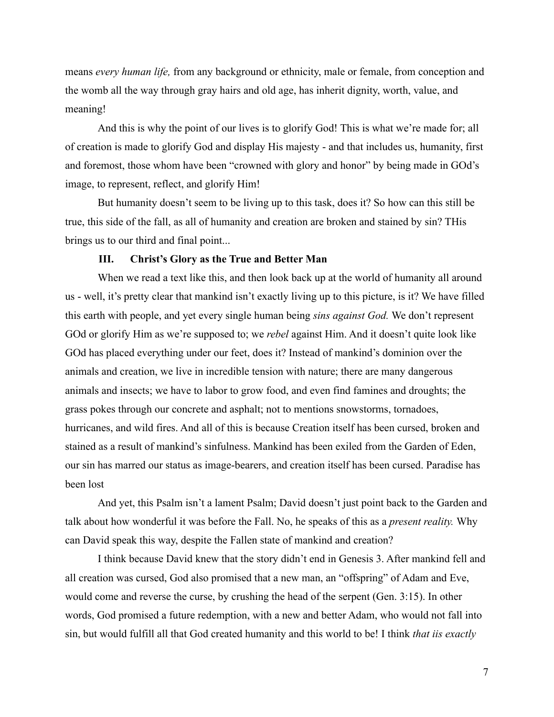means *every human life,* from any background or ethnicity, male or female, from conception and the womb all the way through gray hairs and old age, has inherit dignity, worth, value, and meaning!

And this is why the point of our lives is to glorify God! This is what we're made for; all of creation is made to glorify God and display His majesty - and that includes us, humanity, first and foremost, those whom have been "crowned with glory and honor" by being made in GOd's image, to represent, reflect, and glorify Him!

But humanity doesn't seem to be living up to this task, does it? So how can this still be true, this side of the fall, as all of humanity and creation are broken and stained by sin? THis brings us to our third and final point...

## **III. Christ's Glory as the True and Better Man**

When we read a text like this, and then look back up at the world of humanity all around us - well, it's pretty clear that mankind isn't exactly living up to this picture, is it? We have filled this earth with people, and yet every single human being *sins against God.* We don't represent GOd or glorify Him as we're supposed to; we *rebel* against Him. And it doesn't quite look like GOd has placed everything under our feet, does it? Instead of mankind's dominion over the animals and creation, we live in incredible tension with nature; there are many dangerous animals and insects; we have to labor to grow food, and even find famines and droughts; the grass pokes through our concrete and asphalt; not to mentions snowstorms, tornadoes, hurricanes, and wild fires. And all of this is because Creation itself has been cursed, broken and stained as a result of mankind's sinfulness. Mankind has been exiled from the Garden of Eden, our sin has marred our status as image-bearers, and creation itself has been cursed. Paradise has been lost

And yet, this Psalm isn't a lament Psalm; David doesn't just point back to the Garden and talk about how wonderful it was before the Fall. No, he speaks of this as a *present reality.* Why can David speak this way, despite the Fallen state of mankind and creation?

I think because David knew that the story didn't end in Genesis 3. After mankind fell and all creation was cursed, God also promised that a new man, an "offspring" of Adam and Eve, would come and reverse the curse, by crushing the head of the serpent (Gen. 3:15). In other words, God promised a future redemption, with a new and better Adam, who would not fall into sin, but would fulfill all that God created humanity and this world to be! I think *that iis exactly*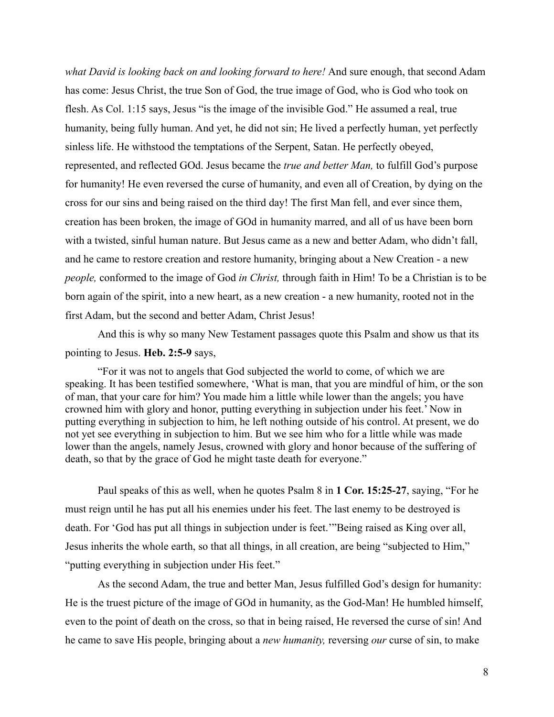*what David is looking back on and looking forward to here!* And sure enough, that second Adam has come: Jesus Christ, the true Son of God, the true image of God, who is God who took on flesh. As Col. 1:15 says, Jesus "is the image of the invisible God." He assumed a real, true humanity, being fully human. And yet, he did not sin; He lived a perfectly human, yet perfectly sinless life. He withstood the temptations of the Serpent, Satan. He perfectly obeyed, represented, and reflected GOd. Jesus became the *true and better Man,* to fulfill God's purpose for humanity! He even reversed the curse of humanity, and even all of Creation, by dying on the cross for our sins and being raised on the third day! The first Man fell, and ever since them, creation has been broken, the image of GOd in humanity marred, and all of us have been born with a twisted, sinful human nature. But Jesus came as a new and better Adam, who didn't fall, and he came to restore creation and restore humanity, bringing about a New Creation - a new *people,* conformed to the image of God *in Christ,* through faith in Him! To be a Christian is to be born again of the spirit, into a new heart, as a new creation - a new humanity, rooted not in the first Adam, but the second and better Adam, Christ Jesus!

And this is why so many New Testament passages quote this Psalm and show us that its pointing to Jesus. **Heb. 2:5-9** says,

"For it was not to angels that God subjected the world to come, of which we are speaking. It has been testified somewhere, 'What is man, that you are mindful of him, or the son of man, that your care for him? You made him a little while lower than the angels; you have crowned him with glory and honor, putting everything in subjection under his feet.' Now in putting everything in subjection to him, he left nothing outside of his control. At present, we do not yet see everything in subjection to him. But we see him who for a little while was made lower than the angels, namely Jesus, crowned with glory and honor because of the suffering of death, so that by the grace of God he might taste death for everyone."

Paul speaks of this as well, when he quotes Psalm 8 in **1 Cor. 15:25-27**, saying, "For he must reign until he has put all his enemies under his feet. The last enemy to be destroyed is death. For 'God has put all things in subjection under is feet.'"Being raised as King over all, Jesus inherits the whole earth, so that all things, in all creation, are being "subjected to Him," "putting everything in subjection under His feet."

As the second Adam, the true and better Man, Jesus fulfilled God's design for humanity: He is the truest picture of the image of GOd in humanity, as the God-Man! He humbled himself, even to the point of death on the cross, so that in being raised, He reversed the curse of sin! And he came to save His people, bringing about a *new humanity,* reversing *our* curse of sin, to make